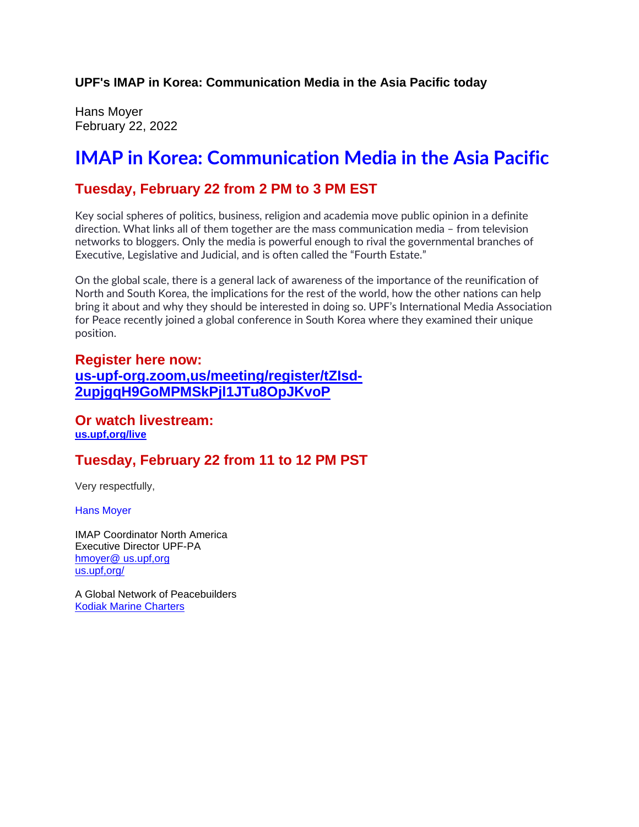**UPF's IMAP in Korea: Communication Media in the Asia Pacific today**

Hans Moyer February 22, 2022

## **IMAP in Korea: Communication Media in the Asia Pacific**

#### **Tuesday, February 22 from 2 PM to 3 PM EST**

Key social spheres of politics, business, religion and academia move public opinion in a definite direction. What links all of them together are the mass communication media – from television networks to bloggers. Only the media is powerful enough to rival the governmental branches of Executive, Legislative and Judicial, and is often called the "Fourth Estate."

On the global scale, there is a general lack of awareness of the importance of the reunification of North and South Korea, the implications for the rest of the world, how the other nations can help bring it about and why they should be interested in doing so. UPF's International Media Association for Peace recently joined a global conference in South Korea where they examined their unique position.

#### **Register here now: us-upf-org.zoom,us/meeting/register/tZIsd-2upjgqH9GoMPMSkPjl1JTu8OpJKvoP**

**Or watch livestream: us.upf,org/live**

### **Tuesday, February 22 from 11 to 12 PM PST**

Very respectfully,

Hans Moyer

IMAP Coordinator North America Executive Director UPF-PA hmoyer@ us.upf,org us.upf,org/

A Global Network of Peacebuilders Kodiak Marine Charters